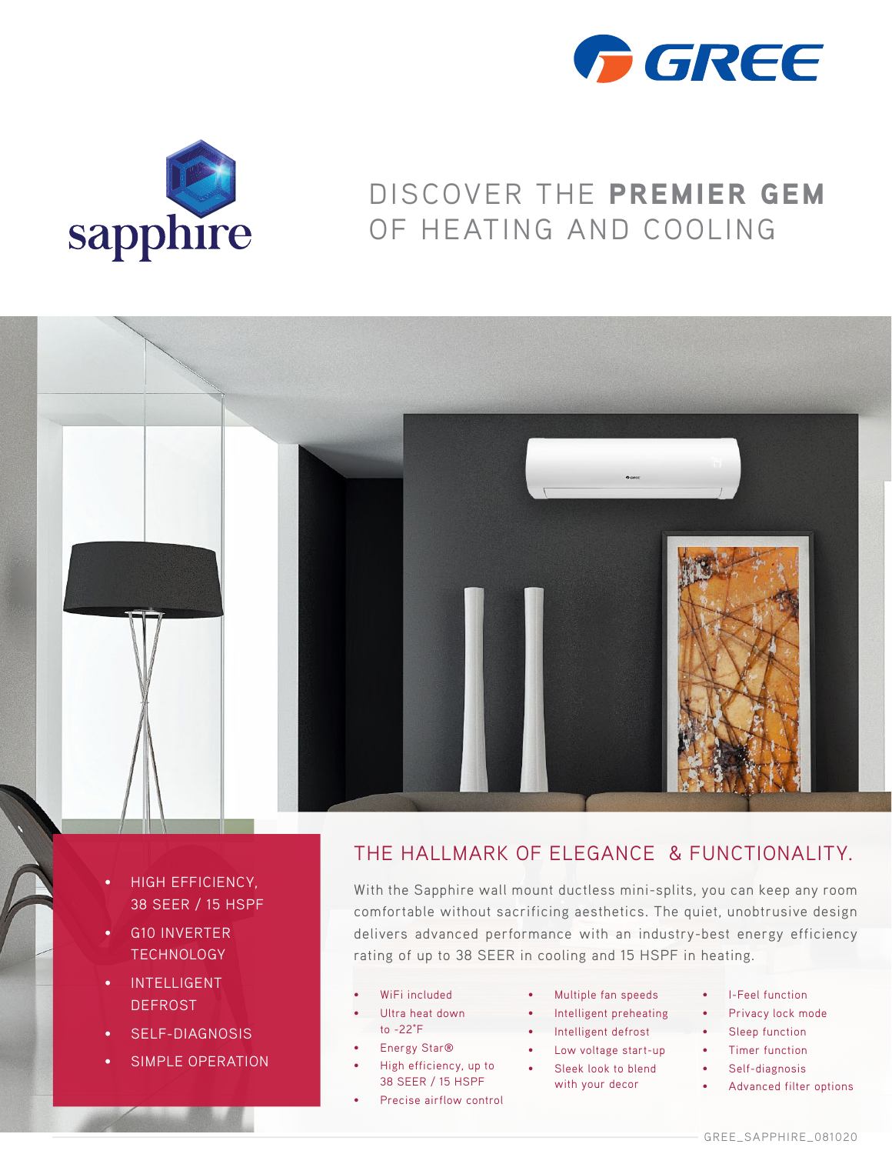



## DISCOVER THE PREMIER GEM OF HEATING AND COOLING



- HIGH EFFICIENCY, 38 SEER / 15 HSPF
- G10 INVERTER **TECHNOLOGY**
- INTELLIGENT DEFROST
- SELF-DIAGNOSIS
- SIMPLE OPERATION

## THE HALLMARK OF ELEGANCE & FUNCTIONALITY.

With the Sapphire wall mount ductless mini-splits, you can keep any room comfortable without sacrificing aesthetics. The quiet, unobtrusive design delivers advanced performance with an industry-best energy efficiency rating of up to 38 SEER in cooling and 15 HSPF in heating.

- WiFi included
- Ultra heat down to -22°F
- Energy Star<sup>®</sup>
- High efficiency, up to 38 SEER / 15 HSPF
- Precise airflow control
- Multiple fan speeds
- Intelligent preheating
- Intelligent defrost
- Low voltage start-up
- Sleek look to blend with your decor
- I-Feel function
- Privacy lock mode
- Sleep function
- Timer function
- Self-diagnosis
- Advanced filter options